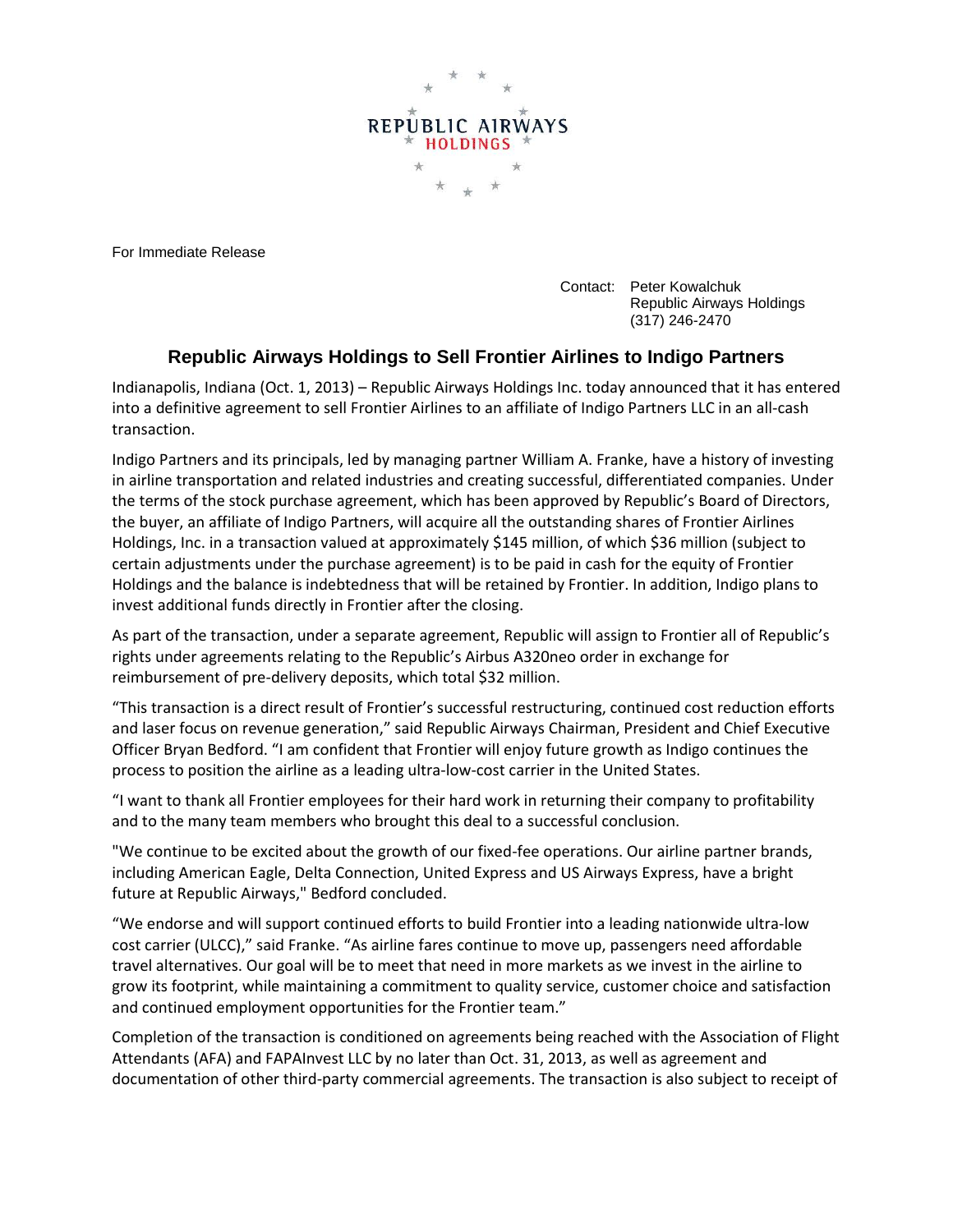

For Immediate Release

Contact: Peter Kowalchuk Republic Airways Holdings (317) 246-2470

## **Republic Airways Holdings to Sell Frontier Airlines to Indigo Partners**

Indianapolis, Indiana (Oct. 1, 2013) – Republic Airways Holdings Inc. today announced that it has entered into a definitive agreement to sell Frontier Airlines to an affiliate of Indigo Partners LLC in an all-cash transaction.

Indigo Partners and its principals, led by managing partner William A. Franke, have a history of investing in airline transportation and related industries and creating successful, differentiated companies. Under the terms of the stock purchase agreement, which has been approved by Republic's Board of Directors, the buyer, an affiliate of Indigo Partners, will acquire all the outstanding shares of Frontier Airlines Holdings, Inc. in a transaction valued at approximately \$145 million, of which \$36 million (subject to certain adjustments under the purchase agreement) is to be paid in cash for the equity of Frontier Holdings and the balance is indebtedness that will be retained by Frontier. In addition, Indigo plans to invest additional funds directly in Frontier after the closing.

As part of the transaction, under a separate agreement, Republic will assign to Frontier all of Republic's rights under agreements relating to the Republic's Airbus A320neo order in exchange for reimbursement of pre-delivery deposits, which total \$32 million.

"This transaction is a direct result of Frontier's successful restructuring, continued cost reduction efforts and laser focus on revenue generation," said Republic Airways Chairman, President and Chief Executive Officer Bryan Bedford. "I am confident that Frontier will enjoy future growth as Indigo continues the process to position the airline as a leading ultra-low-cost carrier in the United States.

"I want to thank all Frontier employees for their hard work in returning their company to profitability and to the many team members who brought this deal to a successful conclusion.

"We continue to be excited about the growth of our fixed-fee operations. Our airline partner brands, including American Eagle, Delta Connection, United Express and US Airways Express, have a bright future at Republic Airways," Bedford concluded.

"We endorse and will support continued efforts to build Frontier into a leading nationwide ultra-low cost carrier (ULCC)," said Franke. "As airline fares continue to move up, passengers need affordable travel alternatives. Our goal will be to meet that need in more markets as we invest in the airline to grow its footprint, while maintaining a commitment to quality service, customer choice and satisfaction and continued employment opportunities for the Frontier team."

Completion of the transaction is conditioned on agreements being reached with the Association of Flight Attendants (AFA) and FAPAInvest LLC by no later than Oct. 31, 2013, as well as agreement and documentation of other third-party commercial agreements. The transaction is also subject to receipt of